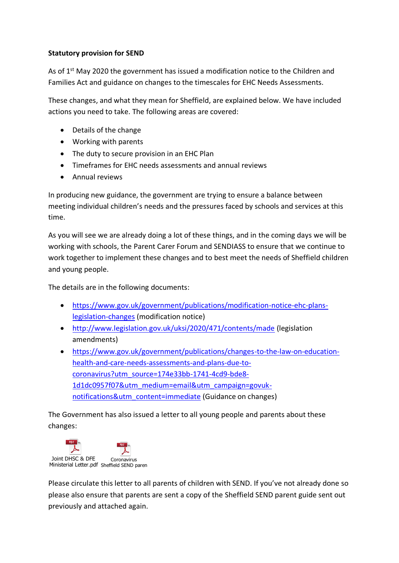# **Statutory provision for SEND**

As of 1<sup>st</sup> May 2020 the government has issued a modification notice to the Children and Families Act and guidance on changes to the timescales for EHC Needs Assessments.

These changes, and what they mean for Sheffield, are explained below. We have included actions you need to take. The following areas are covered:

- Details of the change
- Working with parents
- The duty to secure provision in an EHC Plan
- Timeframes for EHC needs assessments and annual reviews
- Annual reviews

In producing new guidance, the government are trying to ensure a balance between meeting individual children's needs and the pressures faced by schools and services at this time.

As you will see we are already doing a lot of these things, and in the coming days we will be working with schools, the Parent Carer Forum and SENDIASS to ensure that we continue to work together to implement these changes and to best meet the needs of Sheffield children and young people.

The details are in the following documents:

- [https://www.gov.uk/government/publications/modification-notice-ehc-plans](https://www.gov.uk/government/publications/modification-notice-ehc-plans-legislation-changes)[legislation-changes](https://www.gov.uk/government/publications/modification-notice-ehc-plans-legislation-changes) (modification notice)
- <http://www.legislation.gov.uk/uksi/2020/471/contents/made> (legislation amendments)
- [https://www.gov.uk/government/publications/changes-to-the-law-on-education](https://www.gov.uk/government/publications/changes-to-the-law-on-education-health-and-care-needs-assessments-and-plans-due-to-coronavirus?utm_source=174e33bb-1741-4cd9-bde8-1d1dc0957f07&utm_medium=email&utm_campaign=govuk-notifications&utm_content=immediate)[health-and-care-needs-assessments-and-plans-due-to](https://www.gov.uk/government/publications/changes-to-the-law-on-education-health-and-care-needs-assessments-and-plans-due-to-coronavirus?utm_source=174e33bb-1741-4cd9-bde8-1d1dc0957f07&utm_medium=email&utm_campaign=govuk-notifications&utm_content=immediate)[coronavirus?utm\\_source=174e33bb-1741-4cd9-bde8-](https://www.gov.uk/government/publications/changes-to-the-law-on-education-health-and-care-needs-assessments-and-plans-due-to-coronavirus?utm_source=174e33bb-1741-4cd9-bde8-1d1dc0957f07&utm_medium=email&utm_campaign=govuk-notifications&utm_content=immediate) [1d1dc0957f07&utm\\_medium=email&utm\\_campaign=govuk](https://www.gov.uk/government/publications/changes-to-the-law-on-education-health-and-care-needs-assessments-and-plans-due-to-coronavirus?utm_source=174e33bb-1741-4cd9-bde8-1d1dc0957f07&utm_medium=email&utm_campaign=govuk-notifications&utm_content=immediate)[notifications&utm\\_content=immediate](https://www.gov.uk/government/publications/changes-to-the-law-on-education-health-and-care-needs-assessments-and-plans-due-to-coronavirus?utm_source=174e33bb-1741-4cd9-bde8-1d1dc0957f07&utm_medium=email&utm_campaign=govuk-notifications&utm_content=immediate) (Guidance on changes)

The Government has also issued a letter to all young people and parents about these changes:



Please circulate this letter to all parents of children with SEND. If you've not already done so please also ensure that parents are sent a copy of the Sheffield SEND parent guide sent out previously and attached again.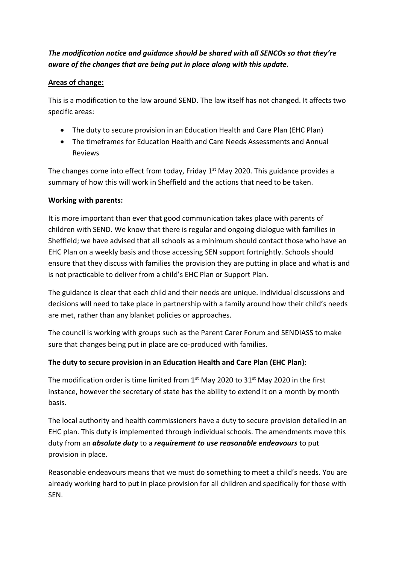# *The modification notice and guidance should be shared with all SENCOs so that they're aware of the changes that are being put in place along with this update.*

# **Areas of change:**

This is a modification to the law around SEND. The law itself has not changed. It affects two specific areas:

- The duty to secure provision in an Education Health and Care Plan (EHC Plan)
- The timeframes for Education Health and Care Needs Assessments and Annual Reviews

The changes come into effect from today, Friday  $1<sup>st</sup>$  May 2020. This guidance provides a summary of how this will work in Sheffield and the actions that need to be taken.

# **Working with parents:**

It is more important than ever that good communication takes place with parents of children with SEND. We know that there is regular and ongoing dialogue with families in Sheffield; we have advised that all schools as a minimum should contact those who have an EHC Plan on a weekly basis and those accessing SEN support fortnightly. Schools should ensure that they discuss with families the provision they are putting in place and what is and is not practicable to deliver from a child's EHC Plan or Support Plan.

The guidance is clear that each child and their needs are unique. Individual discussions and decisions will need to take place in partnership with a family around how their child's needs are met, rather than any blanket policies or approaches.

The council is working with groups such as the Parent Carer Forum and SENDIASS to make sure that changes being put in place are co-produced with families.

# **The duty to secure provision in an Education Health and Care Plan (EHC Plan):**

The modification order is time limited from  $1<sup>st</sup>$  May 2020 to 31 $<sup>st</sup>$  May 2020 in the first</sup> instance, however the secretary of state has the ability to extend it on a month by month basis.

The local authority and health commissioners have a duty to secure provision detailed in an EHC plan. This duty is implemented through individual schools. The amendments move this duty from an *absolute duty* to a *requirement to use reasonable endeavours* to put provision in place.

Reasonable endeavours means that we must do something to meet a child's needs. You are already working hard to put in place provision for all children and specifically for those with SEN.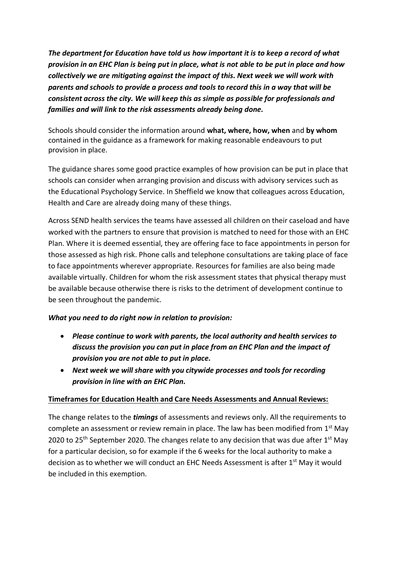*The department for Education have told us how important it is to keep a record of what provision in an EHC Plan is being put in place, what is not able to be put in place and how collectively we are mitigating against the impact of this. Next week we will work with parents and schools to provide a process and tools to record this in a way that will be consistent across the city. We will keep this as simple as possible for professionals and families and will link to the risk assessments already being done.* 

Schools should consider the information around **what, where, how, when** and **by whom** contained in the guidance as a framework for making reasonable endeavours to put provision in place.

The guidance shares some good practice examples of how provision can be put in place that schools can consider when arranging provision and discuss with advisory services such as the Educational Psychology Service. In Sheffield we know that colleagues across Education, Health and Care are already doing many of these things.

Across SEND health services the teams have assessed all children on their caseload and have worked with the partners to ensure that provision is matched to need for those with an EHC Plan. Where it is deemed essential, they are offering face to face appointments in person for those assessed as high risk. Phone calls and telephone consultations are taking place of face to face appointments wherever appropriate. Resources for families are also being made available virtually. Children for whom the risk assessment states that physical therapy must be available because otherwise there is risks to the detriment of development continue to be seen throughout the pandemic.

#### *What you need to do right now in relation to provision:*

- *Please continue to work with parents, the local authority and health services to discuss the provision you can put in place from an EHC Plan and the impact of provision you are not able to put in place.*
- *Next week we will share with you citywide processes and tools for recording provision in line with an EHC Plan.*

#### **Timeframes for Education Health and Care Needs Assessments and Annual Reviews:**

The change relates to the *timings* of assessments and reviews only. All the requirements to complete an assessment or review remain in place. The law has been modified from  $1<sup>st</sup>$  May 2020 to 25<sup>th</sup> September 2020. The changes relate to any decision that was due after  $1<sup>st</sup>$  May for a particular decision, so for example if the 6 weeks for the local authority to make a decision as to whether we will conduct an EHC Needs Assessment is after 1<sup>st</sup> May it would be included in this exemption.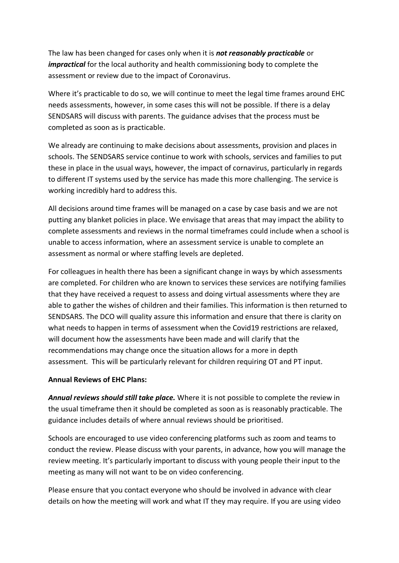The law has been changed for cases only when it is *not reasonably practicable* or *impractical* for the local authority and health commissioning body to complete the assessment or review due to the impact of Coronavirus.

Where it's practicable to do so, we will continue to meet the legal time frames around EHC needs assessments, however, in some cases this will not be possible. If there is a delay SENDSARS will discuss with parents. The guidance advises that the process must be completed as soon as is practicable.

We already are continuing to make decisions about assessments, provision and places in schools. The SENDSARS service continue to work with schools, services and families to put these in place in the usual ways, however, the impact of cornavirus, particularly in regards to different IT systems used by the service has made this more challenging. The service is working incredibly hard to address this.

All decisions around time frames will be managed on a case by case basis and we are not putting any blanket policies in place. We envisage that areas that may impact the ability to complete assessments and reviews in the normal timeframes could include when a school is unable to access information, where an assessment service is unable to complete an assessment as normal or where staffing levels are depleted.

For colleagues in health there has been a significant change in ways by which assessments are completed. For children who are known to services these services are notifying families that they have received a request to assess and doing virtual assessments where they are able to gather the wishes of children and their families. This information is then returned to SENDSARS. The DCO will quality assure this information and ensure that there is clarity on what needs to happen in terms of assessment when the Covid19 restrictions are relaxed, will document how the assessments have been made and will clarify that the recommendations may change once the situation allows for a more in depth assessment. This will be particularly relevant for children requiring OT and PT input.

#### **Annual Reviews of EHC Plans:**

*Annual reviews should still take place.* Where it is not possible to complete the review in the usual timeframe then it should be completed as soon as is reasonably practicable. The guidance includes details of where annual reviews should be prioritised.

Schools are encouraged to use video conferencing platforms such as zoom and teams to conduct the review. Please discuss with your parents, in advance, how you will manage the review meeting. It's particularly important to discuss with young people their input to the meeting as many will not want to be on video conferencing.

Please ensure that you contact everyone who should be involved in advance with clear details on how the meeting will work and what IT they may require. If you are using video